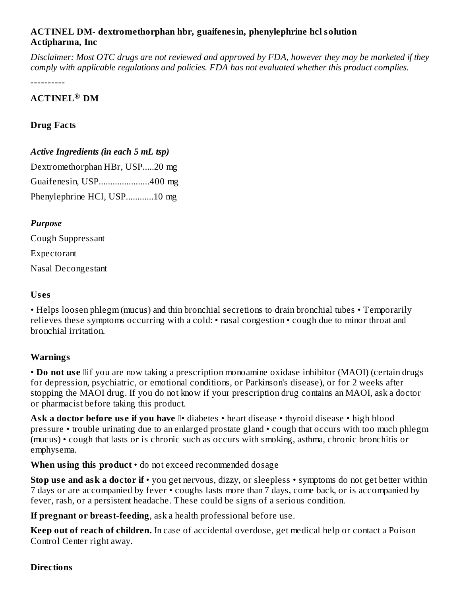# **ACTINEL DM- dextromethorphan hbr, guaifenesin, phenylephrine hcl solution Actipharma, Inc**

Disclaimer: Most OTC drugs are not reviewed and approved by FDA, however they may be marketed if they *comply with applicable regulations and policies. FDA has not evaluated whether this product complies.*

----------

# **ACTINEL DM ®**

### **Drug Facts**

### *Active Ingredients (in each 5 mL tsp)*

Dextromethorphan HBr, USP.....20 mg Guaifenesin, USP......................400 mg Phenylephrine HCl, USP............10 mg

### *Purpose*

Cough Suppressant Expectorant Nasal Decongestant

#### **Us es**

• Helps loosen phlegm (mucus) and thin bronchial secretions to drain bronchial tubes • Temporarily relieves these symptoms occurring with a cold: • nasal congestion • cough due to minor throat and bronchial irritation.

# **Warnings**

• **Do not us e** if you are now taking a prescription monoamine oxidase inhibitor (MAOI) (certain drugs for depression, psychiatric, or emotional conditions, or Parkinson's disease), or for 2 weeks after stopping the MAOI drug. If you do not know if your prescription drug contains an MAOI, ask a doctor or pharmacist before taking this product.

**Ask a doctor before us e if you have** • diabetes • heart disease • thyroid disease • high blood pressure • trouble urinating due to an enlarged prostate gland • cough that occurs with too much phlegm (mucus) • cough that lasts or is chronic such as occurs with smoking, asthma, chronic bronchitis or emphysema.

**When using this product** • do not exceed recommended dosage

**Stop us e and ask a doctor if** • you get nervous, dizzy, or sleepless • symptoms do not get better within 7 days or are accompanied by fever • coughs lasts more than 7 days, come back, or is accompanied by fever, rash, or a persistent headache. These could be signs of a serious condition.

**If pregnant or breast-feeding**, ask a health professional before use.

**Keep out of reach of children.** In case of accidental overdose, get medical help or contact a Poison Control Center right away.

#### **Directions**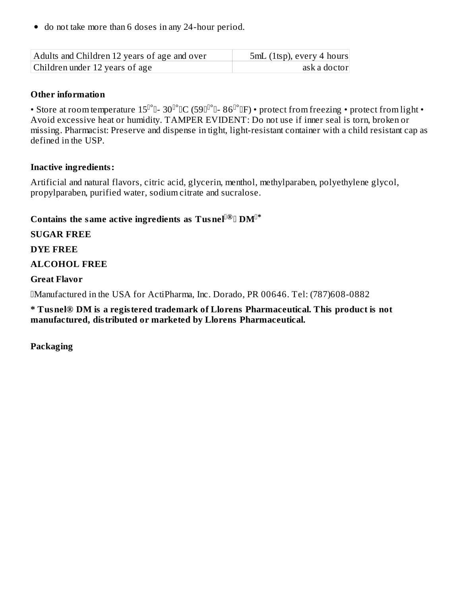do not take more than 6 doses in any 24-hour period.

| Adults and Children 12 years of age and over | 5mL (1tsp), every 4 hours |
|----------------------------------------------|---------------------------|
| Children under 12 years of age               | ask a doctor              |

#### **Other information**

• Store at room temperature  $15^{\rm l\rho}$  0-  $30^{\rm l\rho}$  0C (59 ${\rm l\rho}$  0-  $86^{\rm l\rho}$  0F) • protect from freezing • protect from light • Avoid excessive heat or humidity. TAMPER EVIDENT: Do not use if inner seal is torn, broken or missing. Pharmacist: Preserve and dispense in tight, light-resistant container with a child resistant cap as defined in the USP.

### **Inactive ingredients:**

Artificial and natural flavors, citric acid, glycerin, menthol, methylparaben, polyethylene glycol, propylparaben, purified water, sodium citrate and sucralose.

# Contains the same active ingredients as  $\mathbf{T}$ usnel $\mathbb{I}^{\oplus}$   $\mathbb{D}\mathbf{M}^{\mathbb{I}^*}$

# **SUGAR FREE**

### **DYE FREE**

# **ALCOHOL FREE**

### **Great Flavor**

Manufactured in the USA for ActiPharma, Inc. Dorado, PR 00646. Tel: (787)608-0882

**\* Tusnel® DM is a registered trademark of Llorens Pharmaceutical. This product is not manufactured, distributed or marketed by Llorens Pharmaceutical.**

**Packaging**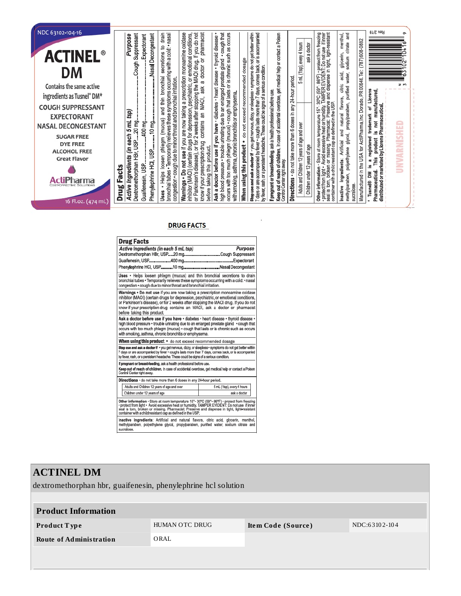| NDC 63102-104-16<br><b>ACTINEL</b><br>DM<br>Contains the same active<br>ingredients as Tusnel® DM*<br><b>COUGH SUPPRESSANT</b><br><b>EXPECTORANT</b><br><b>NASAL DECONGESTANT</b><br><b>SUGAR FREE</b><br><b>DYE FREE</b> | Rev. 2/19<br>pharmacist<br>prescription monoamine oxidase<br>MAOI drug. If you do not<br>cough that<br>occurs with too much phlegm (mucus) . cough that lasts or is chronic such as occurs<br>30°C (59°- 86°F) • protect from freezing<br>TAMPER EVIDENT: Do not use  if inner<br>ve and dispense in tight, light-resistant<br>ang<br>drain<br>Stop use and ask a doctor if . you get nervous, dizzy, or sleepless . symptoms do not get better within<br>comes back, or is accompanied<br>of children. In case of accidental overdose, get medical help or contact a Poison<br>menthol,<br>bronchial tubes . Temporarily relieves these symptoms occurring with a cold: . nasal<br>Suppressant<br>Nasal Decongestant<br>(certain drugs for depression, psychiatric, or emotional conditions<br>Purpose<br>Expectorant<br>· diabetes · heart disease · thyroid disease<br>Manufactured in the USA for ActiPharma, Inc. Dorado, PR 00646. Tel: (787) 608-0882<br>citrate<br>5 mL (1tsp), every 4 hours<br>ask a doctor<br>secretions to<br>glycerin,<br>٠<br>sodium<br>ð<br>When using this product . do not exceed recommended dosage<br>gland<br>Cough<br>doctor<br>by fever, rash, or a persistent headache. These could be signs of a serious condition.<br>high blood pressure • trouble urinating due to an enlarged prostate<br>acid,<br>water,<br>bronchial<br>period.<br>congestion · cough due to minor throat and bronchial irritation.<br>$\sigma$<br>citric<br>2 weeks after stopping the<br>contains an MAOI, ask<br>purified<br>ask<br>7 days or are accompanied by fever . coughs lasts more than 7 days,<br>24-hour<br>Llorens<br>manufactured,<br>If pregnant or breast-feeding, ask a health professional before use.<br>with smoking, asthma, chronic bronchitis or emphysema.<br>flavors,<br>thin<br>Avoid excessive heat or hurnidity T/<br>or missing Pharmacist: Preserve<br>are now taking a<br>propylparaben,<br>container with a child resistant cap as defined in the USP<br>distributed or marketed by Llorens Pharmaceutical.<br>any<br>$15° -$<br>ቴ<br>and<br>mL tsp)<br>Ξ.<br>natura<br>trademark<br>Store at room temperature<br>• do not take more than 6 doses<br>(mucus)<br>400 mg<br>Pharmacist<br>$10 \, mg$<br>ĭø<br>.20 mg.<br>Adults and Children 12 years of age and over<br>Ask a doctor before use if you have<br>each 5<br>gue<br>$\underline{\boldsymbol{\omega}}$<br>glycol, | $\sim$<br>$\geq m$<br>≘<br>쁮<br>¥ |
|---------------------------------------------------------------------------------------------------------------------------------------------------------------------------------------------------------------------------|----------------------------------------------------------------------------------------------------------------------------------------------------------------------------------------------------------------------------------------------------------------------------------------------------------------------------------------------------------------------------------------------------------------------------------------------------------------------------------------------------------------------------------------------------------------------------------------------------------------------------------------------------------------------------------------------------------------------------------------------------------------------------------------------------------------------------------------------------------------------------------------------------------------------------------------------------------------------------------------------------------------------------------------------------------------------------------------------------------------------------------------------------------------------------------------------------------------------------------------------------------------------------------------------------------------------------------------------------------------------------------------------------------------------------------------------------------------------------------------------------------------------------------------------------------------------------------------------------------------------------------------------------------------------------------------------------------------------------------------------------------------------------------------------------------------------------------------------------------------------------------------------------------------------------------------------------------------------------------------------------------------------------------------------------------------------------------------------------------------------------------------------------------------------------------------------------------------------------------------------------------------------------------------------------------------------------------------------------------------------------------------------------------------------------|-----------------------------------|
| <b>ALCOHOL FREE</b>                                                                                                                                                                                                       | registered<br>phlegm<br>product<br>Artificial<br>missing.<br>ίm<br>USP.                                                                                                                                                                                                                                                                                                                                                                                                                                                                                                                                                                                                                                                                                                                                                                                                                                                                                                                                                                                                                                                                                                                                                                                                                                                                                                                                                                                                                                                                                                                                                                                                                                                                                                                                                                                                                                                                                                                                                                                                                                                                                                                                                                                                                                                                                                                                                    | E                                 |
| <b>Great Flavor</b>                                                                                                                                                                                                       | Children under 12 years of age<br>polyethylene<br>Helps loosen<br>This<br>ingredients:<br>ಣ<br>: from light • <i>F</i><br>iorn, broken<br><u>.ഗ</u><br>Facts<br>ΣÑ                                                                                                                                                                                                                                                                                                                                                                                                                                                                                                                                                                                                                                                                                                                                                                                                                                                                                                                                                                                                                                                                                                                                                                                                                                                                                                                                                                                                                                                                                                                                                                                                                                                                                                                                                                                                                                                                                                                                                                                                                                                                                                                                                                                                                                                         | ⋛<br>∍                            |
| <i>i</i> iPharma<br><b>T-EFFECTIVE SOLUTIONS</b>                                                                                                                                                                          | Warnings . Do not use if you<br>or Parkinson's disease), or for<br>Dextromethorphan HBr, USP<br>know if your prescription drug<br>before taking this product.<br><b>Active Ingredients</b><br>Control Center right away.<br>Phenylephrine HCI,<br>Guaifenesin, USP.<br>Other information -<br>inhibitor (MAOI)<br>Keep out of reach<br>Pharmaceutical.<br>methylparaben,<br><b>Directions</b><br>torn,<br>Tusnel®<br>sucralose<br>Drug<br>Inactive<br>·protect t<br>seal is to<br>Uses<br>seal                                                                                                                                                                                                                                                                                                                                                                                                                                                                                                                                                                                                                                                                                                                                                                                                                                                                                                                                                                                                                                                                                                                                                                                                                                                                                                                                                                                                                                                                                                                                                                                                                                                                                                                                                                                                                                                                                                                             |                                   |
| 16 Fl.oz. (474 mL)                                                                                                                                                                                                        |                                                                                                                                                                                                                                                                                                                                                                                                                                                                                                                                                                                                                                                                                                                                                                                                                                                                                                                                                                                                                                                                                                                                                                                                                                                                                                                                                                                                                                                                                                                                                                                                                                                                                                                                                                                                                                                                                                                                                                                                                                                                                                                                                                                                                                                                                                                                                                                                                            |                                   |

#### **DRUG FACTS**

| <b>Drug Facts</b>                                                                                                                                                                                                                                                                                                                                                          |                            |  |  |  |  |  |
|----------------------------------------------------------------------------------------------------------------------------------------------------------------------------------------------------------------------------------------------------------------------------------------------------------------------------------------------------------------------------|----------------------------|--|--|--|--|--|
| Active Ingredients (in each 5 mL tsp)                                                                                                                                                                                                                                                                                                                                      | <b>Purpose</b>             |  |  |  |  |  |
| Dextromethorphan HBr, USP20 mgCough Suppressant                                                                                                                                                                                                                                                                                                                            |                            |  |  |  |  |  |
|                                                                                                                                                                                                                                                                                                                                                                            |                            |  |  |  |  |  |
| Phenylephrine HCl, USP10 mgNasal Decongestant                                                                                                                                                                                                                                                                                                                              |                            |  |  |  |  |  |
| Uses . Helps loosen phlegm (mucus) and thin bronchial secretions to drain<br>bronchial tubes . Temporarily relieves these symptoms occurring with a cold: . nasal<br>congestion · cough due to minor throat and bronchial irritation.                                                                                                                                      |                            |  |  |  |  |  |
| Warnings • Do not use if you are now taking a prescription monoamine oxidase<br>inhibitor (MAOI) (certain drugs for depression, psychiatric, or emotional conditions,<br>or Parkinson's disease), or for 2 weeks after stopping the MAOI drug. If you do not<br>know if your prescription drug contains an MAOI, ask a doctor or pharmacist<br>before taking this product. |                            |  |  |  |  |  |
| Ask a doctor before use if you have · diabetes · heart disease · thyroid disease ·<br>high blood pressure • trouble urinating due to an enlarged prostate gland • cough that<br>occurs with too much phlegm (mucus) · cough that lasts or is chronic such as occurs<br>with smoking, asthma, chronic bronchitis or emphysema,                                              |                            |  |  |  |  |  |
| When using this product • do not exceed recommended dosage                                                                                                                                                                                                                                                                                                                 |                            |  |  |  |  |  |
| Stop use and ask a doctor if · you get nervous, dizzy, or sleepless · symptoms do not get better within<br>7 days or are accompanied by fever · coughs lasts more than 7 days, comes back, or is accompanied<br>by fever, rash, or a persistent headache. These could be signs of a serious condition.                                                                     |                            |  |  |  |  |  |
| If pregnant or breast-feeding, ask a health professional before use.                                                                                                                                                                                                                                                                                                       |                            |  |  |  |  |  |
| Keep out of reach of children, in case of accidental overdose, get medical help or contact a Poison<br>Control Center right away.                                                                                                                                                                                                                                          |                            |  |  |  |  |  |
| Directions · do not take more than 6 doses in any 24-hour period,                                                                                                                                                                                                                                                                                                          |                            |  |  |  |  |  |
| Adults and Children 12 years of age and over                                                                                                                                                                                                                                                                                                                               | 5 mL (1tsp), every 4 hours |  |  |  |  |  |
| Children under 12 years of age                                                                                                                                                                                                                                                                                                                                             | ask a doctor               |  |  |  |  |  |
| Other information · Store at room temperature 15° - 30°C (59° - 86°F) · protect from freezing<br>• protect from light • Avoid excessive heat or humidity. TAMPER EVIDENT: Do not use if inner<br>seal is torn, broken or missing. Pharmacist: Preserve and dispense in tight, light-resistant<br>container with a child resistant cap as defined in the USP.               |                            |  |  |  |  |  |
| Inactive ingredients: Artificial and natural flavors, citric acid, glycerin, menthol,<br>methylparaben, polyethylene glycol, propylparaben, purified water, sodium citrate and<br>sucralose.                                                                                                                                                                               |                            |  |  |  |  |  |

# **ACTINEL DM** dextromethorphan hbr, guaifenesin, phenylephrine hcl solution **Product Information Product Type If ALL AREA** HUMAN OTC DRUG **Item Code (Source) Index Index** 104 **Route of Administration** ORAL